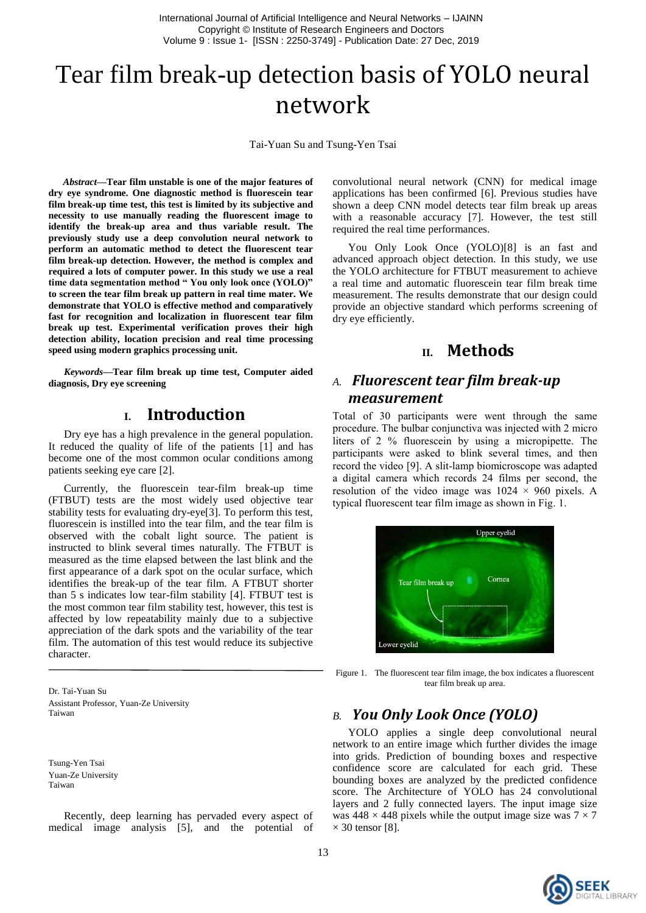International Journal of Artificial Intelligence and Neural Networks – IJAINN Copyright © Institute of Research Engineers and Doctors Volume 9 : Issue 1- [ISSN : 2250-3749] - Publication Date: 27 Dec, 2019

# Tear film break-up detection basis of YOLO neural network

Tai-Yuan Su and Tsung-Yen Tsai

*Abstract***—Tear film unstable is one of the major features of dry eye syndrome. One diagnostic method is fluorescein tear film break-up time test, this test is limited by its subjective and necessity to use manually reading the fluorescent image to identify the break-up area and thus variable result. The previously study use a deep convolution neural network to perform an automatic method to detect the fluorescent tear film break-up detection. However, the method is complex and required a lots of computer power. In this study we use a real time data segmentation method " You only look once (YOLO)" to screen the tear film break up pattern in real time mater. We demonstrate that YOLO is effective method and comparatively fast for recognition and localization in fluorescent tear film break up test. Experimental verification proves their high detection ability, location precision and real time processing speed using modern graphics processing unit.** 

*Keywords—***Tear film break up time test, Computer aided diagnosis, Dry eye screening**

## **I. Introduction**

Dry eye has a high prevalence in the general population. It reduced the quality of life of the patients [1] and has become one of the most common ocular conditions among patients seeking eye care [2].

Currently, the fluorescein tear-film break-up time (FTBUT) tests are the most widely used objective tear stability tests for evaluating dry-eye[3]. To perform this test, fluorescein is instilled into the tear film, and the tear film is observed with the cobalt light source. The patient is instructed to blink several times naturally. The FTBUT is measured as the time elapsed between the last blink and the first appearance of a dark spot on the ocular surface, which identifies the break-up of the tear film. A FTBUT shorter than 5 s indicates low tear-film stability [4]. FTBUT test is the most common tear film stability test, however, this test is affected by low repeatability mainly due to a subjective appreciation of the dark spots and the variability of the tear film. The automation of this test would reduce its subjective character.

Dr. Tai-Yuan Su Assistant Professor, Yuan-Ze University Taiwan

Tsung-Yen Tsai Yuan-Ze University Taiwan

Recently, deep learning has pervaded every aspect of medical image analysis [5], and the potential of

convolutional neural network (CNN) for medical image applications has been confirmed [6]. Previous studies have shown a deep CNN model detects tear film break up areas with a reasonable accuracy [7]. However, the test still required the real time performances.

You Only Look Once (YOLO)[8] is an fast and advanced approach object detection. In this study, we use the YOLO architecture for FTBUT measurement to achieve a real time and automatic fluorescein tear film break time measurement. The results demonstrate that our design could provide an objective standard which performs screening of dry eye efficiently.

# **II. Methods**

# *A. Fluorescent tear film break-up measurement*

Total of 30 participants were went through the same procedure. The bulbar conjunctiva was injected with 2 micro liters of 2 % fluorescein by using a micropipette. The participants were asked to blink several times, and then record the video [9]. A slit-lamp biomicroscope was adapted a digital camera which records 24 films per second, the resolution of the video image was  $1024 \times 960$  pixels. A typical fluorescent tear film image as shown in Fig. 1.



Figure 1. The fluorescent tear film image, the box indicates a fluorescent tear film break up area.

## *B. You Only Look Once (YOLO)*

YOLO applies a single deep convolutional neural network to an entire image which further divides the image into grids. Prediction of bounding boxes and respective confidence score are calculated for each grid. These bounding boxes are analyzed by the predicted confidence score. The Architecture of YOLO has 24 convolutional layers and 2 fully connected layers. The input image size was  $448 \times 448$  pixels while the output image size was  $7 \times 7$  $\times$  30 tensor [8].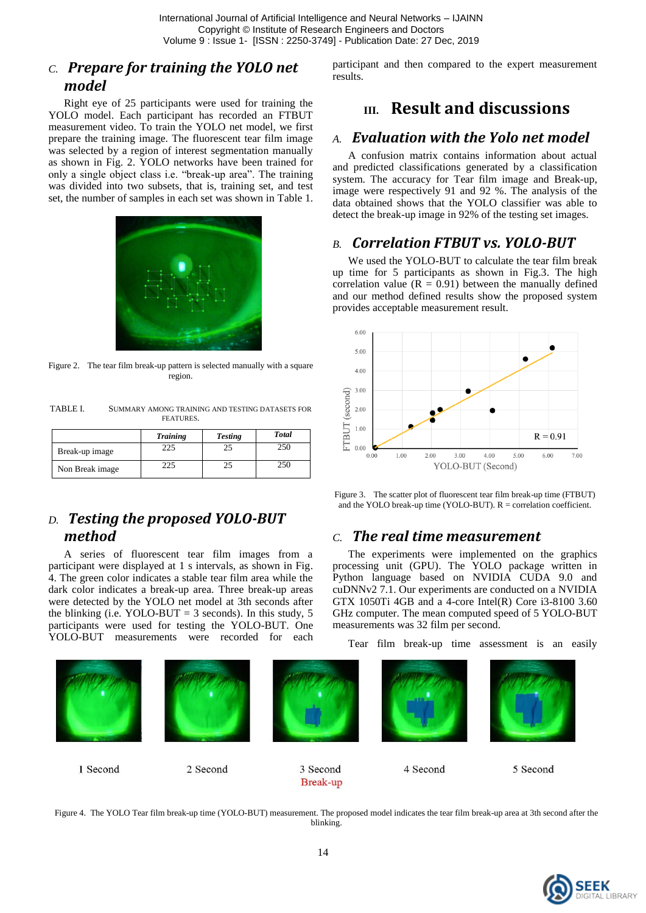# *C. Prepare for training the YOLO net model*

Right eye of 25 participants were used for training the YOLO model. Each participant has recorded an FTBUT measurement video. To train the YOLO net model, we first prepare the training image. The fluorescent tear film image was selected by a region of interest segmentation manually as shown in Fig. 2. YOLO networks have been trained for only a single object class i.e. "break-up area". The training was divided into two subsets, that is, training set, and test set, the number of samples in each set was shown in Table 1.



Figure 2. The tear film break-up pattern is selected manually with a square region.

TABLE I. SUMMARY AMONG TRAINING AND TESTING DATASETS FOR **FEATURES** 

|                 | <b>Training</b> | <b>Testing</b> | <b>Total</b> |
|-----------------|-----------------|----------------|--------------|
| Break-up image  | 225             |                | 250          |
| Non Break image | 22.             |                |              |

# *D. Testing the proposed YOLO-BUT method*

A series of fluorescent tear film images from a participant were displayed at 1 s intervals, as shown in Fig. 4. The green color indicates a stable tear film area while the dark color indicates a break-up area. Three break-up areas were detected by the YOLO net model at 3th seconds after the blinking (i.e. YOLO-BUT = 3 seconds). In this study, 5 participants were used for testing the YOLO-BUT. One YOLO-BUT measurements were recorded for each

participant and then compared to the expert measurement results.

# **III. Result and discussions**

### *A. Evaluation with the Yolo net model*

A confusion matrix contains information about actual and predicted classifications generated by a classification system. The accuracy for Tear film image and Break-up, image were respectively 91 and 92 %. The analysis of the data obtained shows that the YOLO classifier was able to detect the break-up image in 92% of the testing set images.

# *B. Correlation FTBUT vs. YOLO-BUT*

We used the YOLO-BUT to calculate the tear film break up time for 5 participants as shown in Fig.3. The high correlation value  $(R = 0.91)$  between the manually defined and our method defined results show the proposed system provides acceptable measurement result.



Figure 3. The scatter plot of fluorescent tear film break-up time (FTBUT) and the YOLO break-up time (YOLO-BUT). R = correlation coefficient.

### *C. The real time measurement*

The experiments were implemented on the graphics processing unit (GPU). The YOLO package written in Python language based on NVIDIA CUDA 9.0 and cuDNNv2 7.1. Our experiments are conducted on a NVIDIA GTX 1050Ti 4GB and a 4-core Intel(R) Core i3-8100 3.60 GHz computer. The mean computed speed of 5 YOLO-BUT measurements was 32 film per second.

Tear film break-up time assessment is an easily



Figure 4. The YOLO Tear film break-up time (YOLO-BUT) measurement. The proposed model indicates the tear film break-up area at 3th second after the blinking.